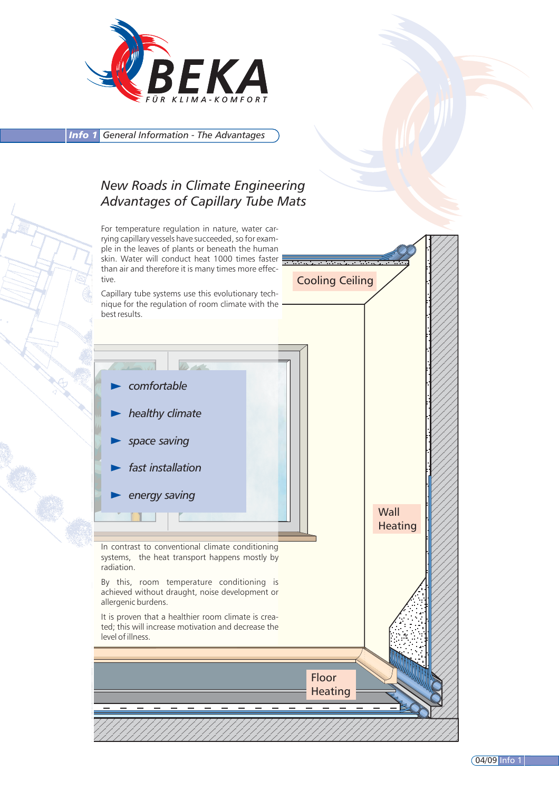

*Info 1 General Information - The Advantages*

## *New Roads in Climate Engineering Advantages of Capillary Tube Mats*

Cooling Ceiling **Wall Heating** *comfortable healthy climate space saving fast installation energy saving* For temperature regulation in nature, water carrying capillary vessels have succeeded, so for example in the leaves of plants or beneath the human skin. Water will conduct heat 1000 times faster than air and therefore it is many times more effective. Capillary tube systems use this evolutionary technique for the regulation of room climate with the best results. By this, room temperature conditioning is achieved without draught, noise development or allergenic burdens. It is proven that a healthier room climate is created; this will increase motivation and decrease the level of illness. In contrast to conventional climate conditioning systems, the heat transport happens mostly by radiation.

> Floor **Heating**

> > 04/09 Info 1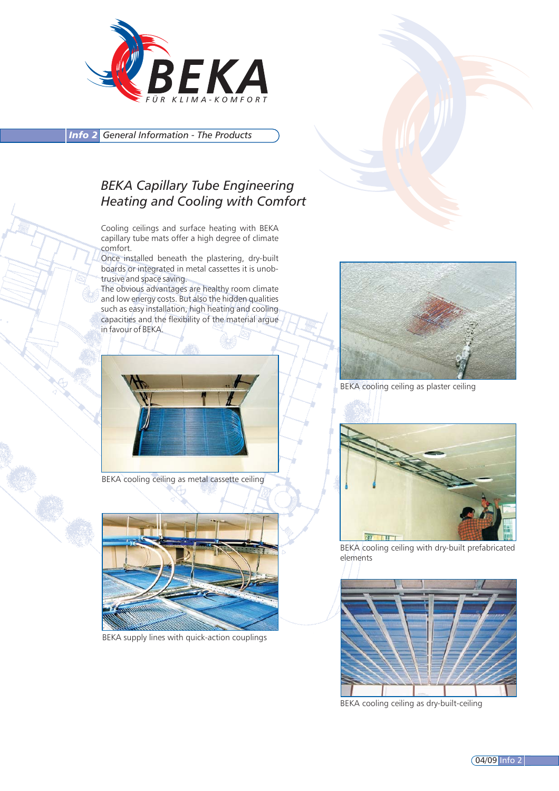

*Info 2 General Information - The Products*

### *BEKA Capillary Tube Engineering Heating and Cooling with Comfort*

Cooling ceilings and surface heating with BEKA capillary tube mats offer a high degree of climate comfort.

Once installed beneath the plastering, dry-built boards or integrated in metal cassettes it is unobtrusive and space saving.

The obvious advantages are healthy room climate and low energy costs. But also the hidden qualities such as easy installation, high heating and cooling capacities and the flexibility of the material argue in favour of BEKA.



BEKA cooling ceiling as metal cassette ceiling



BEKA supply lines with quick-action couplings



BEKA cooling ceiling as plaster ceiling



BEKA cooling ceiling with dry-built prefabricated elements



BEKA cooling ceiling as dry-built-ceiling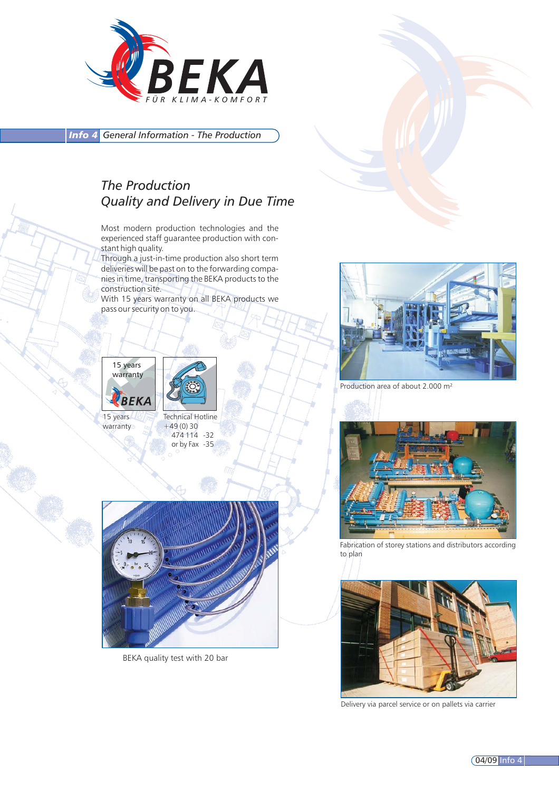

*Info 4 General Information - The Production*

## *The Production Quality and Delivery in Due Time*

Most modern production technologies and the experienced staff guarantee production with constant high quality.

Through a just-in-time production also short term deliveries will be past on to the forwarding companies in time, transporting the BEKA products to the construction site.

With 15 years warranty on all BEKA products we pass our security on to you.





15 years warranty Technical Hotline  $+49(0)30$ 474 114 -32 or by Fax -35



BEKA quality test with 20 bar



Production area of about 2.000 m²



Fabrication of storey stations and distributors according to plan



Delivery via parcel service or on pallets via carrier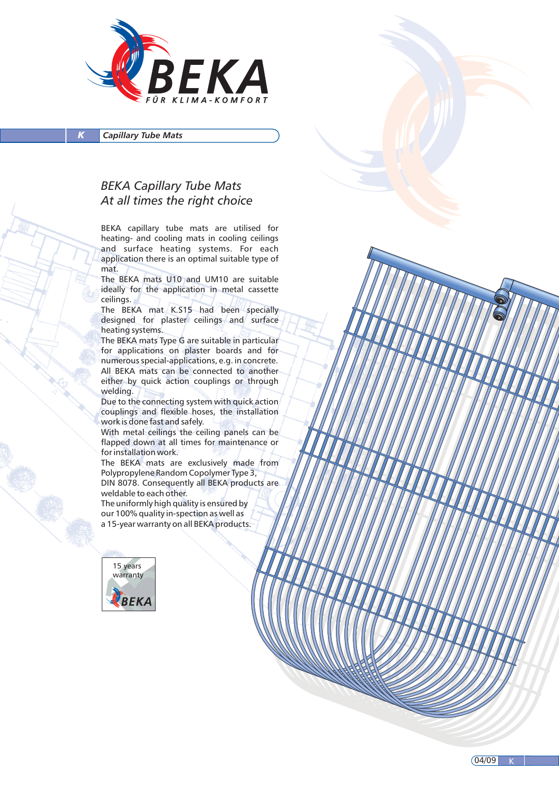

*Capillary Tube Mats* 

#### *BEKA Capillary Tube Mats At all times the right choice*

BEKA capillary tube mats are utilised for heating- and cooling mats in cooling ceilings and surface heating systems. For each application there is an optimal suitable type of mat.

The BEKA mats U10 and UM10 are suitable ideally for the application in metal cassette ceilings.

The BEKA mat K.S15 had been specially designed for plaster ceilings and surface heating systems.

The BEKA mats Type G are suitable in particular for applications on plaster boards and for numerous special-applications, e.g. in concrete. All BEKA mats can be connected to another either by quick action couplings or through welding.

Due to the connecting system with quick action couplings and flexible hoses, the installation work is done fast and safely.

With metal ceilings the ceiling panels can be flapped down at all times for maintenance or for installation work.

The BEKA mats are exclusively made from Polypropylene Random Copolymer Type 3, DIN 8078. Consequently all BEKA products are weldable to each other.

The uniformly high quality is ensured by our 100% quality in-spection as well as a 15-year warranty on all BEKA products.